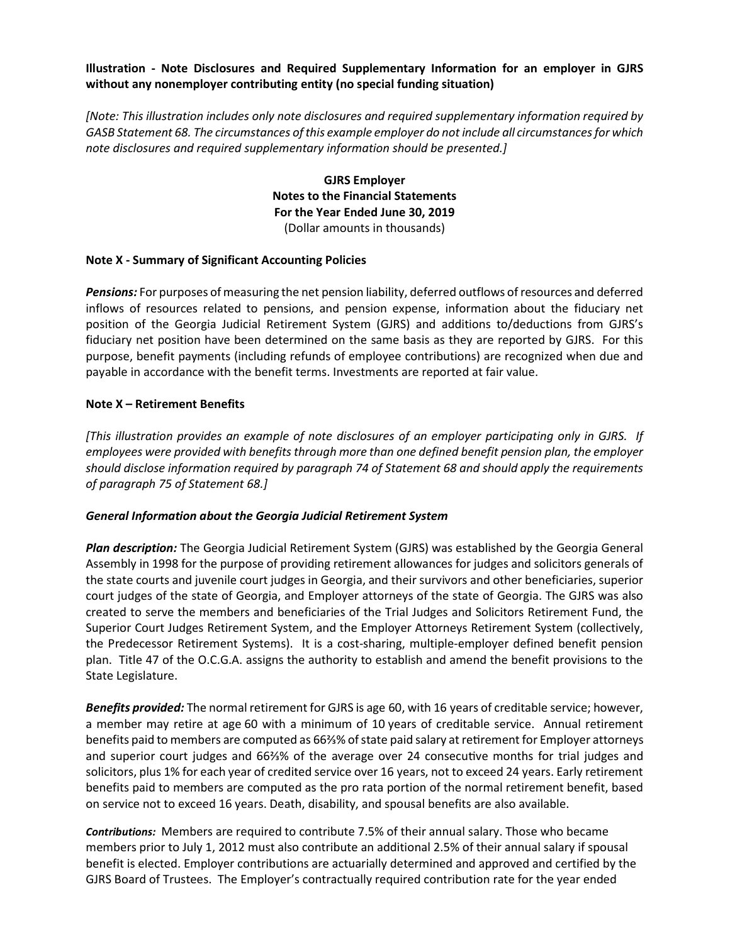### Illustration - Note Disclosures and Required Supplementary Information for an employer in GJRS without any nonemployer contributing entity (no special funding situation)

[Note: This illustration includes only note disclosures and required supplementary information required by GASB Statement 68. The circumstances of this example employer do not include all circumstances for which note disclosures and required supplementary information should be presented.]

> GJRS Employer Notes to the Financial Statements For the Year Ended June 30, 2019 (Dollar amounts in thousands)

#### Note X - Summary of Significant Accounting Policies

Pensions: For purposes of measuring the net pension liability, deferred outflows of resources and deferred inflows of resources related to pensions, and pension expense, information about the fiduciary net position of the Georgia Judicial Retirement System (GJRS) and additions to/deductions from GJRS's fiduciary net position have been determined on the same basis as they are reported by GJRS. For this purpose, benefit payments (including refunds of employee contributions) are recognized when due and payable in accordance with the benefit terms. Investments are reported at fair value.

#### Note X – Retirement Benefits

[This illustration provides an example of note disclosures of an employer participating only in GJRS. If employees were provided with benefits through more than one defined benefit pension plan, the employer should disclose information required by paragraph 74 of Statement 68 and should apply the requirements of paragraph 75 of Statement 68.]

#### General Information about the Georgia Judicial Retirement System

Plan description: The Georgia Judicial Retirement System (GJRS) was established by the Georgia General Assembly in 1998 for the purpose of providing retirement allowances for judges and solicitors generals of the state courts and juvenile court judges in Georgia, and their survivors and other beneficiaries, superior court judges of the state of Georgia, and Employer attorneys of the state of Georgia. The GJRS was also created to serve the members and beneficiaries of the Trial Judges and Solicitors Retirement Fund, the Superior Court Judges Retirement System, and the Employer Attorneys Retirement System (collectively, the Predecessor Retirement Systems). It is a cost-sharing, multiple-employer defined benefit pension plan. Title 47 of the O.C.G.A. assigns the authority to establish and amend the benefit provisions to the State Legislature.

Benefits provided: The normal retirement for GJRS is age 60, with 16 years of creditable service; however, a member may retire at age 60 with a minimum of 10 years of creditable service. Annual retirement benefits paid to members are computed as 66⅔% of state paid salary at retirement for Employer attorneys and superior court judges and 66⅔% of the average over 24 consecutive months for trial judges and solicitors, plus 1% for each year of credited service over 16 years, not to exceed 24 years. Early retirement benefits paid to members are computed as the pro rata portion of the normal retirement benefit, based on service not to exceed 16 years. Death, disability, and spousal benefits are also available.

Contributions: Members are required to contribute 7.5% of their annual salary. Those who became members prior to July 1, 2012 must also contribute an additional 2.5% of their annual salary if spousal benefit is elected. Employer contributions are actuarially determined and approved and certified by the GJRS Board of Trustees. The Employer's contractually required contribution rate for the year ended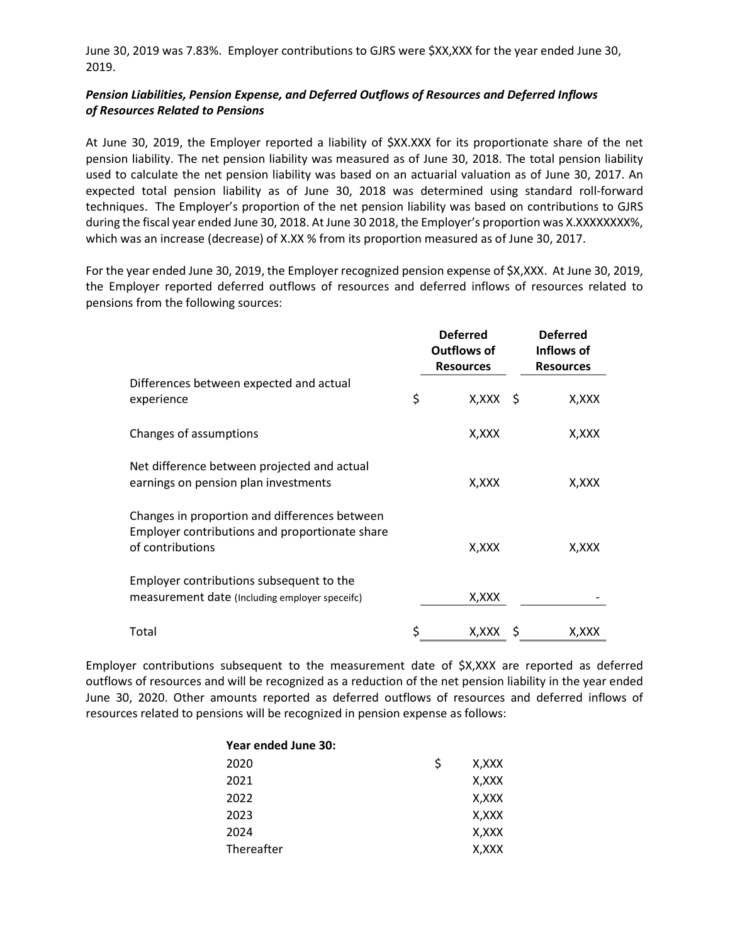June 30, 2019 was 7.83%. Employer contributions to GJRS were \$XX,XXX for the year ended June 30, 2019.

## Pension Liabilities, Pension Expense, and Deferred Outflows of Resources and Deferred Inflows of Resources Related to Pensions

At June 30, 2019, the Employer reported a liability of \$XX.XXX for its proportionate share of the net pension liability. The net pension liability was measured as of June 30, 2018. The total pension liability used to calculate the net pension liability was based on an actuarial valuation as of June 30, 2017. An expected total pension liability as of June 30, 2018 was determined using standard roll-forward techniques. The Employer's proportion of the net pension liability was based on contributions to GJRS during the fiscal year ended June 30, 2018. At June 30 2018, the Employer's proportion was X.XXXXXXXX%, which was an increase (decrease) of X.XX % from its proportion measured as of June 30, 2017.

For the year ended June 30, 2019, the Employer recognized pension expense of \$X,XXX. At June 30, 2019, the Employer reported deferred outflows of resources and deferred inflows of resources related to pensions from the following sources:

|                                                                                                                     | <b>Deferred</b><br><b>Outflows of</b><br><b>Resources</b> | <b>Deferred</b><br>Inflows of<br><b>Resources</b> |
|---------------------------------------------------------------------------------------------------------------------|-----------------------------------------------------------|---------------------------------------------------|
| Differences between expected and actual<br>experience                                                               | \$<br>$X, XXX \S$                                         | X,XXX                                             |
| Changes of assumptions                                                                                              | X,XXX                                                     | X,XXX                                             |
| Net difference between projected and actual<br>earnings on pension plan investments                                 | X, XXX                                                    | X, XXX                                            |
| Changes in proportion and differences between<br>Employer contributions and proportionate share<br>of contributions | X, XXX                                                    | X, XXX                                            |
| Employer contributions subsequent to the<br>measurement date (Including employer speceifc)                          | X,XXX                                                     |                                                   |
| Total                                                                                                               | \$<br>X,XXX                                               | X,XXX                                             |

Employer contributions subsequent to the measurement date of \$X,XXX are reported as deferred outflows of resources and will be recognized as a reduction of the net pension liability in the year ended June 30, 2020. Other amounts reported as deferred outflows of resources and deferred inflows of resources related to pensions will be recognized in pension expense as follows:

| Year ended June 30: |   |       |
|---------------------|---|-------|
| 2020                | S | X.XXX |
| 2021                |   | X,XXX |
| 2022                |   | X,XXX |
| 2023                |   | X,XXX |
| 2024                |   | X.XXX |
| Thereafter          |   | X,XXX |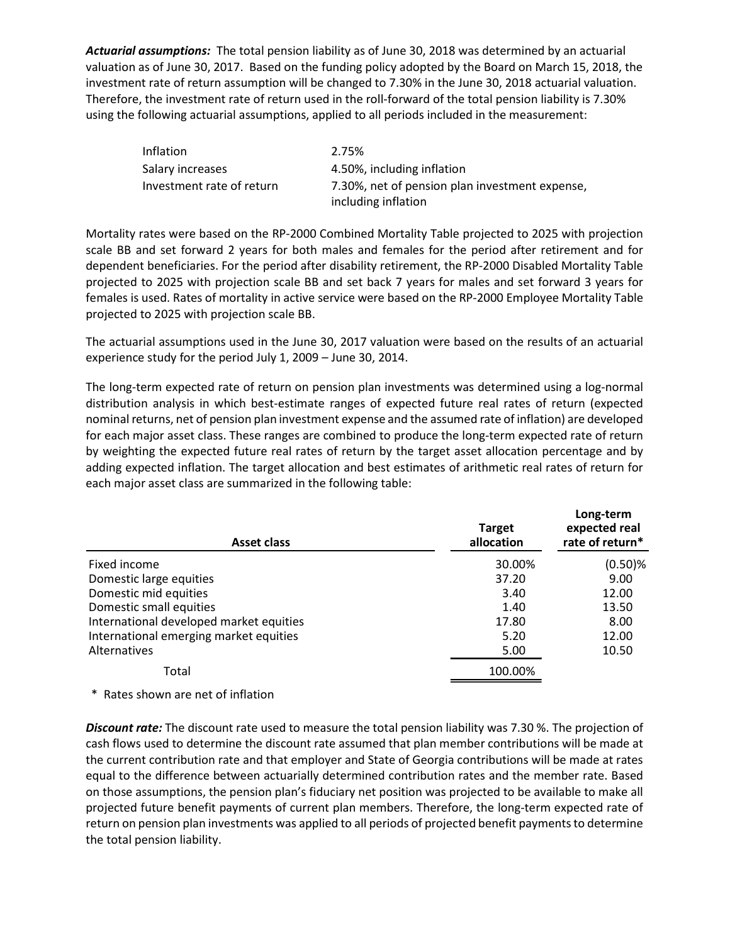Actuarial assumptions: The total pension liability as of June 30, 2018 was determined by an actuarial valuation as of June 30, 2017. Based on the funding policy adopted by the Board on March 15, 2018, the investment rate of return assumption will be changed to 7.30% in the June 30, 2018 actuarial valuation. Therefore, the investment rate of return used in the roll-forward of the total pension liability is 7.30% using the following actuarial assumptions, applied to all periods included in the measurement:

| Inflation                 | 2.75%                                          |
|---------------------------|------------------------------------------------|
| Salary increases          | 4.50%, including inflation                     |
| Investment rate of return | 7.30%, net of pension plan investment expense, |
|                           | including inflation                            |

Mortality rates were based on the RP-2000 Combined Mortality Table projected to 2025 with projection scale BB and set forward 2 years for both males and females for the period after retirement and for dependent beneficiaries. For the period after disability retirement, the RP-2000 Disabled Mortality Table projected to 2025 with projection scale BB and set back 7 years for males and set forward 3 years for females is used. Rates of mortality in active service were based on the RP-2000 Employee Mortality Table projected to 2025 with projection scale BB.

| The actuarial assumptions used in the June 30, 2017 valuation were based on the results of an actuarial                                                                                                                                                                                                                                                                                                                                                                                                                                                                                                                                                    |
|------------------------------------------------------------------------------------------------------------------------------------------------------------------------------------------------------------------------------------------------------------------------------------------------------------------------------------------------------------------------------------------------------------------------------------------------------------------------------------------------------------------------------------------------------------------------------------------------------------------------------------------------------------|
|                                                                                                                                                                                                                                                                                                                                                                                                                                                                                                                                                                                                                                                            |
| The long-term expected rate of return on pension plan investments was determined using a log-normal<br>distribution analysis in which best-estimate ranges of expected future real rates of return (expected<br>nominal returns, net of pension plan investment expense and the assumed rate of inflation) are developed<br>for each major asset class. These ranges are combined to produce the long-term expected rate of return<br>by weighting the expected future real rates of return by the target asset allocation percentage and by<br>adding expected inflation. The target allocation and best estimates of arithmetic real rates of return for |
| Long-term<br>expected real<br>rate of return*                                                                                                                                                                                                                                                                                                                                                                                                                                                                                                                                                                                                              |
| $(0.50)$ %                                                                                                                                                                                                                                                                                                                                                                                                                                                                                                                                                                                                                                                 |
| 9.00                                                                                                                                                                                                                                                                                                                                                                                                                                                                                                                                                                                                                                                       |
| 12.00                                                                                                                                                                                                                                                                                                                                                                                                                                                                                                                                                                                                                                                      |
| 13.50<br>8.00                                                                                                                                                                                                                                                                                                                                                                                                                                                                                                                                                                                                                                              |
| 12.00                                                                                                                                                                                                                                                                                                                                                                                                                                                                                                                                                                                                                                                      |
| 10.50                                                                                                                                                                                                                                                                                                                                                                                                                                                                                                                                                                                                                                                      |
|                                                                                                                                                                                                                                                                                                                                                                                                                                                                                                                                                                                                                                                            |
|                                                                                                                                                                                                                                                                                                                                                                                                                                                                                                                                                                                                                                                            |
| Discount rate: The discount rate used to measure the total pension liability was 7.30 %. The projection of                                                                                                                                                                                                                                                                                                                                                                                                                                                                                                                                                 |

**Discount rate:** The discount rate used to measure the total pension liability was 7.30 %. The projection of cash flows used to determine the discount rate assumed that plan member contributions will be made at the current contribution rate and that employer and State of Georgia contributions will be made at rates equal to the difference between actuarially determined contribution rates and the member rate. Based on those assumptions, the pension plan's fiduciary net position was projected to be available to make all projected future benefit payments of current plan members. Therefore, the long-term expected rate of return on pension plan investments was applied to all periods of projected benefit payments to determine the total pension liability.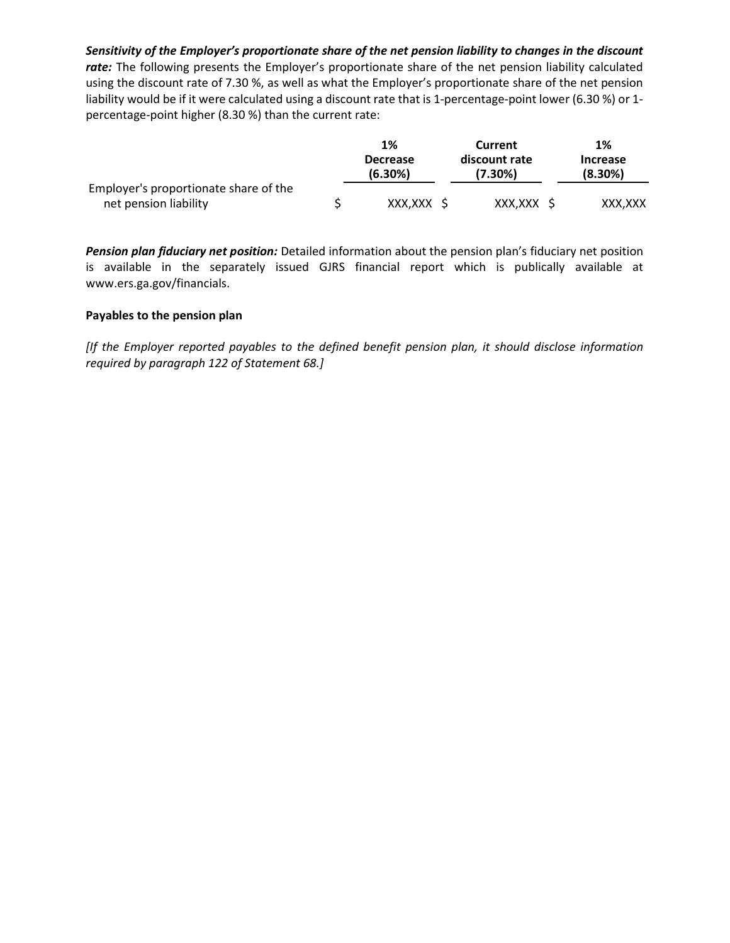Sensitivity of the Employer's proportionate share of the net pension liability to changes in the discount rate: The following presents the Employer's proportionate share of the net pension liability calculated using the discount rate of 7.30 %, as well as what the Employer's proportionate share of the net pension liability would be if it were calculated using a discount rate that is 1-percentage-point lower (6.30 %) or 1 percentage-point higher (8.30 %) than the current rate:

|                                       | 1%                         | Current                     | 1%                            |
|---------------------------------------|----------------------------|-----------------------------|-------------------------------|
|                                       | <b>Decrease</b><br>(6.30%) | discount rate<br>$(7.30\%)$ | <b>Increase</b><br>$(8.30\%)$ |
| Employer's proportionate share of the |                            |                             |                               |
| net pension liability                 | XXX, XXX                   | XXX, XXX                    | XXX, XXX                      |

Pension plan fiduciary net position: Detailed information about the pension plan's fiduciary net position is available in the separately issued GJRS financial report which is publically available at www.ers.ga.gov/financials.

#### Payables to the pension plan

[If the Employer reported payables to the defined benefit pension plan, it should disclose information required by paragraph 122 of Statement 68.]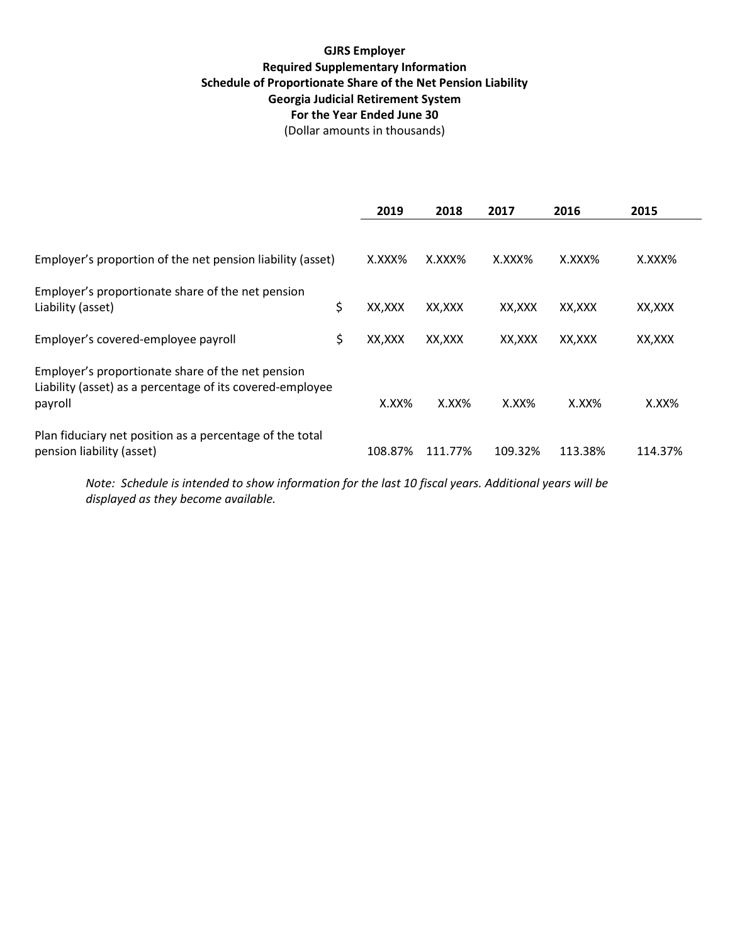# GJRS Employer Required Supplementary Information Schedule of Proportionate Share of the Net Pension Liability Georgia Judicial Retirement System For the Year Ended June 30 (Dollar amounts in thousands)

|                                                                                                                           | 2019         | 2018      | 2017         | 2016      | 2015     |
|---------------------------------------------------------------------------------------------------------------------------|--------------|-----------|--------------|-----------|----------|
| Employer's proportion of the net pension liability (asset)                                                                | $X.XXX\%$    | $X.XXX\%$ | $X.$ $XXX\%$ | $X.XXX\%$ | X.XXX%   |
| Employer's proportionate share of the net pension<br>Liability (asset)                                                    | \$<br>XX,XXX | XX,XXX    | XX,XXX       | XX,XXX    | XX,XXX   |
| Employer's covered-employee payroll                                                                                       | \$<br>XX,XXX | XX,XXX    | XX.XXX       | XX,XXX    | XX,XXX   |
| Employer's proportionate share of the net pension<br>Liability (asset) as a percentage of its covered-employee<br>payroll | $X.XX\%$     | $X.XX\%$  | $X.XX\%$     | $X.XX\%$  | $X.XX\%$ |
| Plan fiduciary net position as a percentage of the total<br>pension liability (asset)                                     | 108.87%      | 111.77%   | 109.32%      | 113.38%   | 114.37%  |

Note: Schedule is intended to show information for the last 10 fiscal years. Additional years will be displayed as they become available.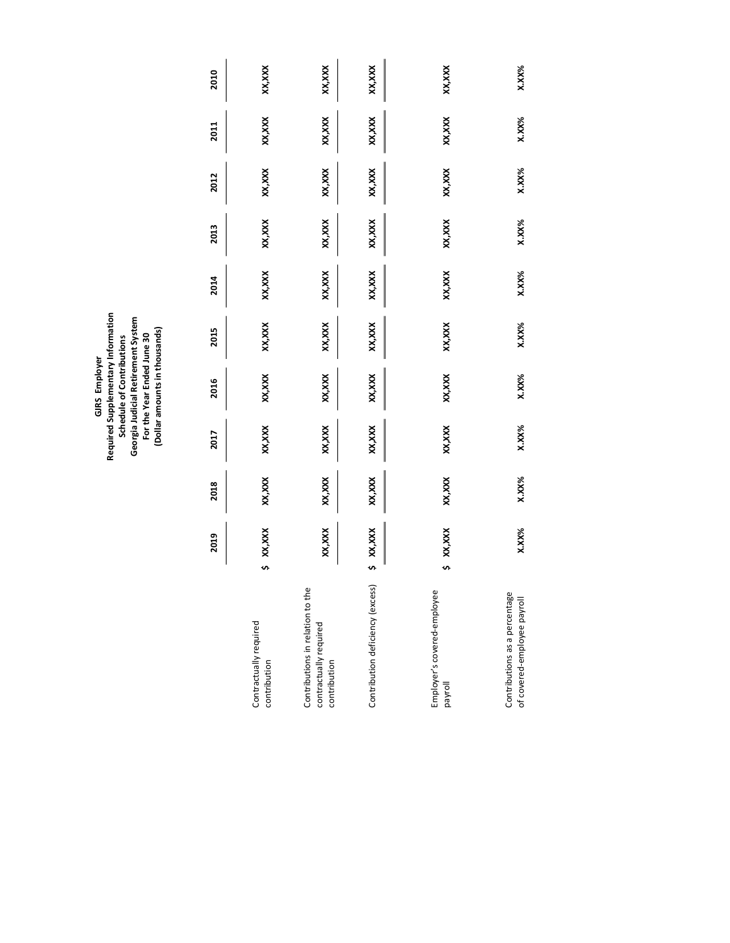|                                                                            |              |          |          | Required Supplementary Information<br>Georgia Judicial Retirement System<br>(Dollar amounts in thousands)<br>For the Year Ended June 30<br>Schedule of Contributions<br>GJRS Employer |          |        |          |          |          |        |
|----------------------------------------------------------------------------|--------------|----------|----------|---------------------------------------------------------------------------------------------------------------------------------------------------------------------------------------|----------|--------|----------|----------|----------|--------|
|                                                                            | 2019         | 2018     | 2017     | 2016                                                                                                                                                                                  | 2015     | 2014   | 2013     | 2012     | 2011     | 2010   |
| Contractually required<br>contribution                                     | \$ XX,XXX    | XX,XXX   | XX,XXX   | XX, XXX                                                                                                                                                                               | XX,XXX   | XX,XXX | XX,XXX   | XX,XXX   | XX, XXX  | XX,XXX |
| Contributions in relation to the<br>contractually required<br>contribution | XX,XXX       | XX,XXX   | XX,XXX   | XX, XXX                                                                                                                                                                               | XX,XXX   | XX,XXX | XX, XXX  | XX,XXX   | XX, XXX  | XX,XXX |
| Contribution deficiency (excess)                                           | \$ XX,XXX    | XX,XXX   | XX,XXX   | XX, XXX                                                                                                                                                                               | XX,XXX   | XX,XXX | XX,XXX   | XX,XXX   | XX, XXX  | XX,XXX |
| Employer's covered-employee<br>payroll                                     | XX,XXX<br>s, | XX,XXX   | XX,XXX   | XX, XXX                                                                                                                                                                               | XX,XXX   | XX,XXX | XX,XXX   | XX,XXX   | XX, XXX  | XX,XXX |
| Contributions as a percentage<br>of covered-employee payroll               | <b>X.XX%</b> | $X.XX\%$ | $X.XX\%$ | $X.XX\%$                                                                                                                                                                              | $X.XX\%$ | X.XX%  | $X.XX\%$ | $X.XX\%$ | $X.XX\%$ | X.XX%  |
|                                                                            |              |          |          |                                                                                                                                                                                       |          |        |          |          |          |        |